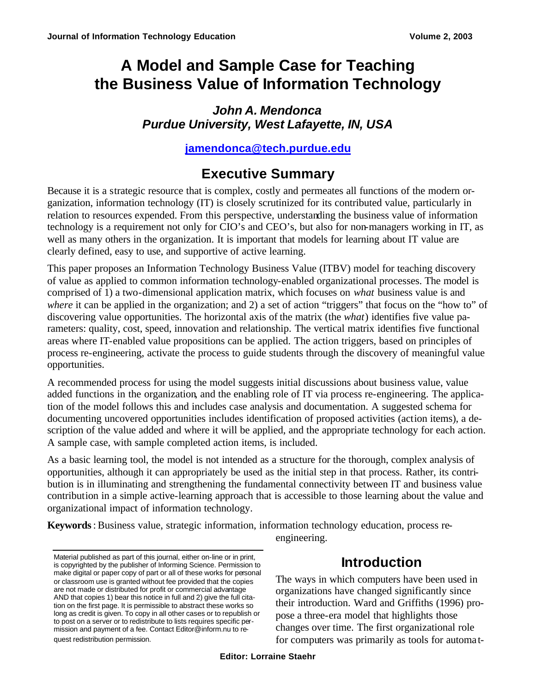# **A Model and Sample Case for Teaching the Business Value of Information Technology**

### *John A. Mendonca Purdue University, West Lafayette, IN, USA*

### **jamendonca@tech.purdue.edu**

## **Executive Summary**

Because it is a strategic resource that is complex, costly and permeates all functions of the modern organization, information technology (IT) is closely scrutinized for its contributed value, particularly in relation to resources expended. From this perspective, understanding the business value of information technology is a requirement not only for CIO's and CEO's, but also for non-managers working in IT, as well as many others in the organization. It is important that models for learning about IT value are clearly defined, easy to use, and supportive of active learning.

This paper proposes an Information Technology Business Value (ITBV) model for teaching discovery of value as applied to common information technology-enabled organizational processes. The model is comprised of 1) a two-dimensional application matrix, which focuses on *what* business value is and *where* it can be applied in the organization; and 2) a set of action "triggers" that focus on the "how to" of discovering value opportunities. The horizontal axis of the matrix (the *what*) identifies five value parameters: quality, cost, speed, innovation and relationship. The vertical matrix identifies five functional areas where IT-enabled value propositions can be applied. The action triggers, based on principles of process re-engineering, activate the process to guide students through the discovery of meaningful value opportunities.

A recommended process for using the model suggests initial discussions about business value, value added functions in the organization, and the enabling role of IT via process re-engineering. The application of the model follows this and includes case analysis and documentation. A suggested schema for documenting uncovered opportunities includes identification of proposed activities (action items), a description of the value added and where it will be applied, and the appropriate technology for each action. A sample case, with sample completed action items, is included.

As a basic learning tool, the model is not intended as a structure for the thorough, complex analysis of opportunities, although it can appropriately be used as the initial step in that process. Rather, its contribution is in illuminating and strengthening the fundamental connectivity between IT and business value contribution in a simple active-learning approach that is accessible to those learning about the value and organizational impact of information technology.

**Keywords**: Business value, strategic information, information technology education, process re-

engineering.

## **Introduction**

The ways in which computers have been used in organizations have changed significantly since their introduction. Ward and Griffiths (1996) propose a three-era model that highlights those changes over time. The first organizational role for computers was primarily as tools for automa t-

Material published as part of this journal, either on-line or in print, is copyrighted by the publisher of Informing Science. Permission to make digital or paper copy of part or all of these works for personal or classroom use is granted without fee provided that the copies are not made or distributed for profit or commercial advantage AND that copies 1) bear this notice in full and 2) give the full citation on the first page. It is permissible to abstract these works so long as credit is given. To copy in all other cases or to republish or to post on a server or to redistribute to lists requires specific permission and payment of a fee. Contact Editor@inform.nu to request redistribution permission.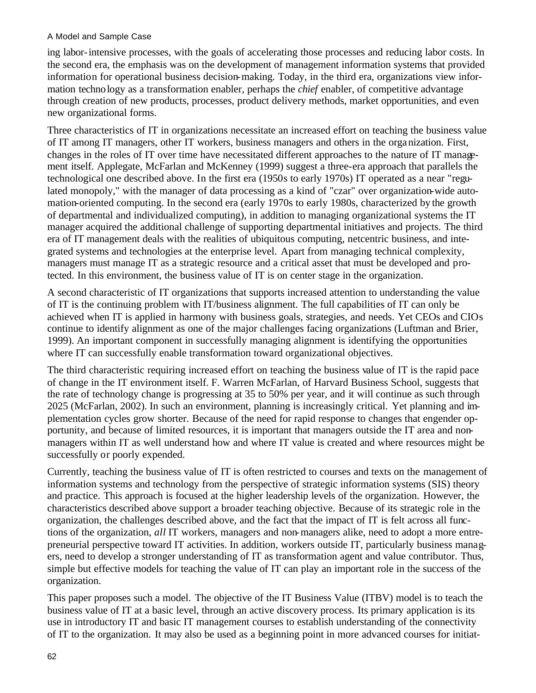ing labor-intensive processes, with the goals of accelerating those processes and reducing labor costs. In the second era, the emphasis was on the development of management information systems that provided information for operational business decision-making. Today, in the third era, organizations view information technology as a transformation enabler, perhaps the *chief* enabler, of competitive advantage through creation of new products, processes, product delivery methods, market opportunities, and even new organizational forms.

Three characteristics of IT in organizations necessitate an increased effort on teaching the business value of IT among IT managers, other IT workers, business managers and others in the organization. First, changes in the roles of IT over time have necessitated different approaches to the nature of IT management itself. Applegate, McFarlan and McKenney (1999) suggest a three-era approach that parallels the technological one described above. In the first era (1950s to early 1970s) IT operated as a near "regulated monopoly," with the manager of data processing as a kind of "czar" over organization-wide automation-oriented computing. In the second era (early 1970s to early 1980s, characterized by the growth of departmental and individualized computing), in addition to managing organizational systems the IT manager acquired the additional challenge of supporting departmental initiatives and projects. The third era of IT management deals with the realities of ubiquitous computing, netcentric business, and integrated systems and technologies at the enterprise level. Apart from managing technical complexity, managers must manage IT as a strategic resource and a critical asset that must be developed and protected. In this environment, the business value of IT is on center stage in the organization.

A second characteristic of IT organizations that supports increased attention to understanding the value of IT is the continuing problem with IT/business alignment. The full capabilities of IT can only be achieved when IT is applied in harmony with business goals, strategies, and needs. Yet CEOs and CIOs continue to identify alignment as one of the major challenges facing organizations (Luftman and Brier, 1999). An important component in successfully managing alignment is identifying the opportunities where IT can successfully enable transformation toward organizational objectives.

The third characteristic requiring increased effort on teaching the business value of IT is the rapid pace of change in the IT environment itself. F. Warren McFarlan, of Harvard Business School, suggests that the rate of technology change is progressing at 35 to 50% per year, and it will continue as such through 2025 (McFarlan, 2002). In such an environment, planning is increasingly critical. Yet planning and implementation cycles grow shorter. Because of the need for rapid response to changes that engender opportunity, and because of limited resources, it is important that managers outside the IT area and nonmanagers within IT as well understand how and where IT value is created and where resources might be successfully or poorly expended.

Currently, teaching the business value of IT is often restricted to courses and texts on the management of information systems and technology from the perspective of strategic information systems (SIS) theory and practice. This approach is focused at the higher leadership levels of the organization. However, the characteristics described above support a broader teaching objective. Because of its strategic role in the organization, the challenges described above, and the fact that the impact of IT is felt across all functions of the organization, *all* IT workers, managers and non-managers alike, need to adopt a more entrepreneurial perspective toward IT activities. In addition, workers outside IT, particularly business managers, need to develop a stronger understanding of IT as transformation agent and value contributor. Thus, simple but effective models for teaching the value of IT can play an important role in the success of the organization.

This paper proposes such a model. The objective of the IT Business Value (ITBV) model is to teach the business value of IT at a basic level, through an active discovery process. Its primary application is its use in introductory IT and basic IT management courses to establish understanding of the connectivity of IT to the organization. It may also be used as a beginning point in more advanced courses for initiat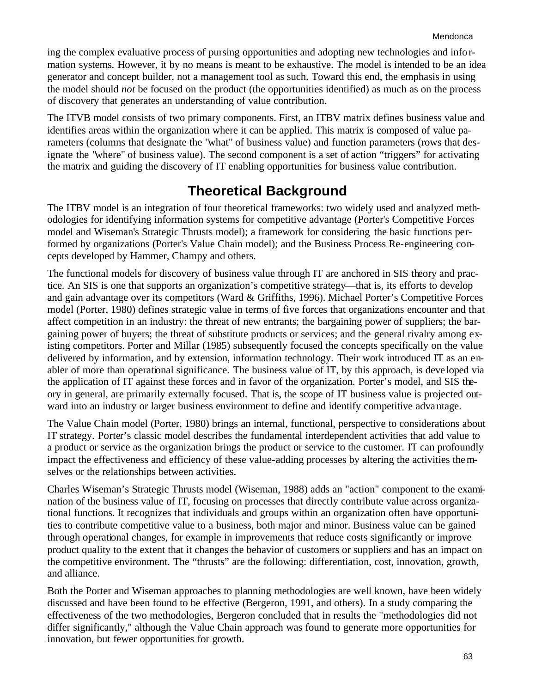ing the complex evaluative process of pursing opportunities and adopting new technologies and information systems. However, it by no means is meant to be exhaustive. The model is intended to be an idea generator and concept builder, not a management tool as such. Toward this end, the emphasis in using the model should *not* be focused on the product (the opportunities identified) as much as on the process of discovery that generates an understanding of value contribution.

The ITVB model consists of two primary components. First, an ITBV matrix defines business value and identifies areas within the organization where it can be applied. This matrix is composed of value parameters (columns that designate the "what" of business value) and function parameters (rows that designate the "where" of business value). The second component is a set of action "triggers" for activating the matrix and guiding the discovery of IT enabling opportunities for business value contribution.

## **Theoretical Background**

The ITBV model is an integration of four theoretical frameworks: two widely used and analyzed methodologies for identifying information systems for competitive advantage (Porter's Competitive Forces model and Wiseman's Strategic Thrusts model); a framework for considering the basic functions performed by organizations (Porter's Value Chain model); and the Business Process Re-engineering concepts developed by Hammer, Champy and others.

The functional models for discovery of business value through IT are anchored in SIS theory and practice. An SIS is one that supports an organization's competitive strategy—that is, its efforts to develop and gain advantage over its competitors (Ward & Griffiths, 1996). Michael Porter's Competitive Forces model (Porter, 1980) defines strategic value in terms of five forces that organizations encounter and that affect competition in an industry: the threat of new entrants; the bargaining power of suppliers; the bargaining power of buyers; the threat of substitute products or services; and the general rivalry among existing competitors. Porter and Millar (1985) subsequently focused the concepts specifically on the value delivered by information, and by extension, information technology. Their work introduced IT as an enabler of more than operational significance. The business value of IT, by this approach, is deve loped via the application of IT against these forces and in favor of the organization. Porter's model, and SIS theory in general, are primarily externally focused. That is, the scope of IT business value is projected outward into an industry or larger business environment to define and identify competitive advantage.

The Value Chain model (Porter, 1980) brings an internal, functional, perspective to considerations about IT strategy. Porter's classic model describes the fundamental interdependent activities that add value to a product or service as the organization brings the product or service to the customer. IT can profoundly impact the effectiveness and efficiency of these value-adding processes by altering the activities themselves or the relationships between activities.

Charles Wiseman's Strategic Thrusts model (Wiseman, 1988) adds an "action" component to the examination of the business value of IT, focusing on processes that directly contribute value across organizational functions. It recognizes that individuals and groups within an organization often have opportunities to contribute competitive value to a business, both major and minor. Business value can be gained through operational changes, for example in improvements that reduce costs significantly or improve product quality to the extent that it changes the behavior of customers or suppliers and has an impact on the competitive environment. The "thrusts" are the following: differentiation, cost, innovation, growth, and alliance.

Both the Porter and Wiseman approaches to planning methodologies are well known, have been widely discussed and have been found to be effective (Bergeron, 1991, and others). In a study comparing the effectiveness of the two methodologies, Bergeron concluded that in results the "methodologies did not differ significantly," although the Value Chain approach was found to generate more opportunities for innovation, but fewer opportunities for growth.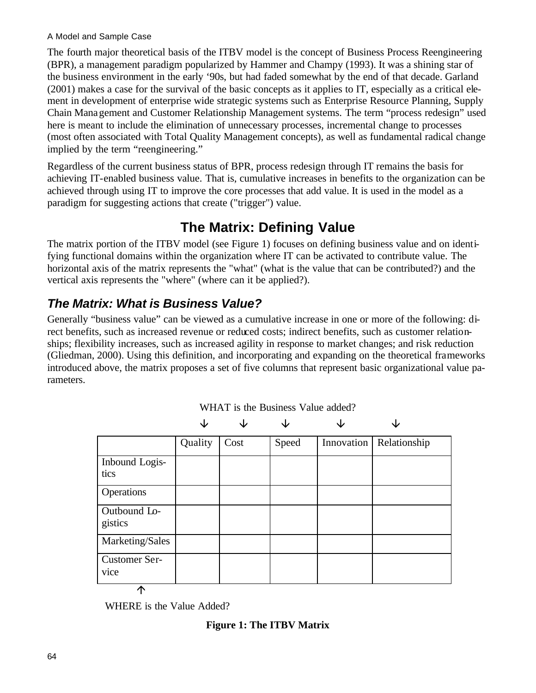The fourth major theoretical basis of the ITBV model is the concept of Business Process Reengineering (BPR), a management paradigm popularized by Hammer and Champy (1993). It was a shining star of the business environment in the early '90s, but had faded somewhat by the end of that decade. Garland (2001) makes a case for the survival of the basic concepts as it applies to IT, especially as a critical element in development of enterprise wide strategic systems such as Enterprise Resource Planning, Supply Chain Management and Customer Relationship Management systems. The term "process redesign" used here is meant to include the elimination of unnecessary processes, incremental change to processes (most often associated with Total Quality Management concepts), as well as fundamental radical change implied by the term "reengineering."

Regardless of the current business status of BPR, process redesign through IT remains the basis for achieving IT-enabled business value. That is, cumulative increases in benefits to the organization can be achieved through using IT to improve the core processes that add value. It is used in the model as a paradigm for suggesting actions that create ("trigger") value.

## **The Matrix: Defining Value**

The matrix portion of the ITBV model (see Figure 1) focuses on defining business value and on identifying functional domains within the organization where IT can be activated to contribute value. The horizontal axis of the matrix represents the "what" (what is the value that can be contributed?) and the vertical axis represents the "where" (where can it be applied?).

### *The Matrix: What is Business Value?*

Generally "business value" can be viewed as a cumulative increase in one or more of the following: direct benefits, such as increased revenue or reduced costs; indirect benefits, such as customer relationships; flexibility increases, such as increased agility in response to market changes; and risk reduction (Gliedman, 2000). Using this definition, and incorporating and expanding on the theoretical frameworks introduced above, the matrix proposes a set of five columns that represent basic organizational value parameters.

|                              | Quality | Cost | Speed | Innovation | Relationship |
|------------------------------|---------|------|-------|------------|--------------|
| Inbound Logis-<br>tics       |         |      |       |            |              |
| Operations                   |         |      |       |            |              |
| Outbound Lo-<br>gistics      |         |      |       |            |              |
| Marketing/Sales              |         |      |       |            |              |
| <b>Customer Ser-</b><br>vice |         |      |       |            |              |
| ጥ                            |         |      |       |            |              |

WHAT is the Business Value added?

WHERE is the Value Added?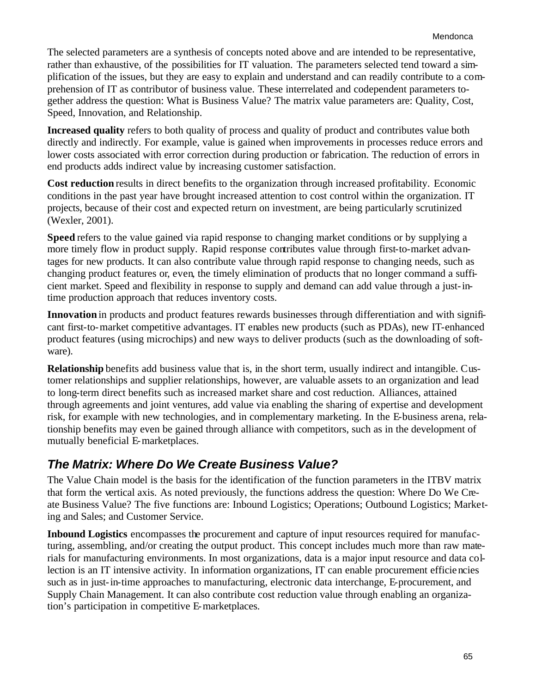The selected parameters are a synthesis of concepts noted above and are intended to be representative, rather than exhaustive, of the possibilities for IT valuation. The parameters selected tend toward a simplification of the issues, but they are easy to explain and understand and can readily contribute to a comprehension of IT as contributor of business value. These interrelated and codependent parameters together address the question: What is Business Value? The matrix value parameters are: Quality, Cost, Speed, Innovation, and Relationship.

**Increased quality** refers to both quality of process and quality of product and contributes value both directly and indirectly. For example, value is gained when improvements in processes reduce errors and lower costs associated with error correction during production or fabrication. The reduction of errors in end products adds indirect value by increasing customer satisfaction.

**Cost reduction** results in direct benefits to the organization through increased profitability. Economic conditions in the past year have brought increased attention to cost control within the organization. IT projects, because of their cost and expected return on investment, are being particularly scrutinized (Wexler, 2001).

**Speed** refers to the value gained via rapid response to changing market conditions or by supplying a more timely flow in product supply. Rapid response contributes value through first-to-market advantages for new products. It can also contribute value through rapid response to changing needs, such as changing product features or, even, the timely elimination of products that no longer command a sufficient market. Speed and flexibility in response to supply and demand can add value through a just-intime production approach that reduces inventory costs.

**Innovation** in products and product features rewards businesses through differentiation and with significant first-to-market competitive advantages. IT enables new products (such as PDAs), new IT-enhanced product features (using microchips) and new ways to deliver products (such as the downloading of software).

**Relationship** benefits add business value that is, in the short term, usually indirect and intangible. Customer relationships and supplier relationships, however, are valuable assets to an organization and lead to long-term direct benefits such as increased market share and cost reduction. Alliances, attained through agreements and joint ventures, add value via enabling the sharing of expertise and development risk, for example with new technologies, and in complementary marketing. In the E-business arena, relationship benefits may even be gained through alliance with competitors, such as in the development of mutually beneficial E-marketplaces.

### *The Matrix: Where Do We Create Business Value?*

The Value Chain model is the basis for the identification of the function parameters in the ITBV matrix that form the vertical axis. As noted previously, the functions address the question: Where Do We Create Business Value? The five functions are: Inbound Logistics; Operations; Outbound Logistics; Marketing and Sales; and Customer Service.

**Inbound Logistics** encompasses the procurement and capture of input resources required for manufacturing, assembling, and/or creating the output product. This concept includes much more than raw materials for manufacturing environments. In most organizations, data is a major input resource and data collection is an IT intensive activity. In information organizations, IT can enable procurement efficiencies such as in just-in-time approaches to manufacturing, electronic data interchange, E-procurement, and Supply Chain Management. It can also contribute cost reduction value through enabling an organization's participation in competitive E-marketplaces.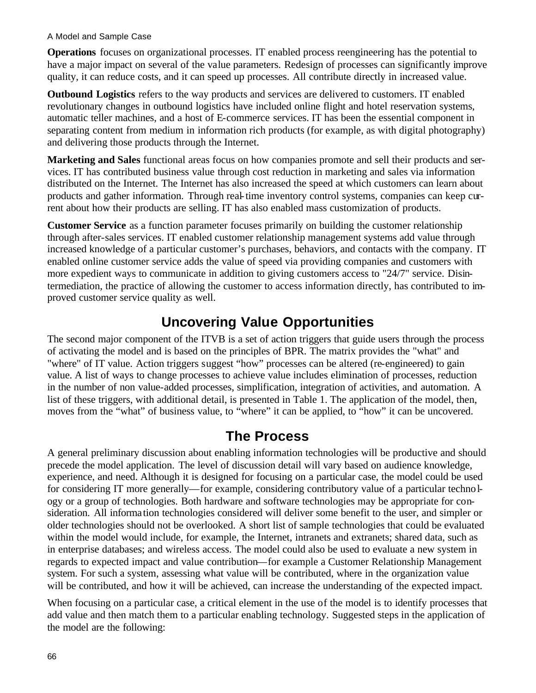**Operations** focuses on organizational processes. IT enabled process reengineering has the potential to have a major impact on several of the value parameters. Redesign of processes can significantly improve quality, it can reduce costs, and it can speed up processes. All contribute directly in increased value.

**Outbound Logistics** refers to the way products and services are delivered to customers. IT enabled revolutionary changes in outbound logistics have included online flight and hotel reservation systems, automatic teller machines, and a host of E-commerce services. IT has been the essential component in separating content from medium in information rich products (for example, as with digital photography) and delivering those products through the Internet.

**Marketing and Sales** functional areas focus on how companies promote and sell their products and services. IT has contributed business value through cost reduction in marketing and sales via information distributed on the Internet. The Internet has also increased the speed at which customers can learn about products and gather information. Through real-time inventory control systems, companies can keep current about how their products are selling. IT has also enabled mass customization of products.

**Customer Service** as a function parameter focuses primarily on building the customer relationship through after-sales services. IT enabled customer relationship management systems add value through increased knowledge of a particular customer's purchases, behaviors, and contacts with the company. IT enabled online customer service adds the value of speed via providing companies and customers with more expedient ways to communicate in addition to giving customers access to "24/7" service. Disintermediation, the practice of allowing the customer to access information directly, has contributed to improved customer service quality as well.

## **Uncovering Value Opportunities**

The second major component of the ITVB is a set of action triggers that guide users through the process of activating the model and is based on the principles of BPR. The matrix provides the "what" and "where" of IT value. Action triggers suggest "how" processes can be altered (re-engineered) to gain value. A list of ways to change processes to achieve value includes elimination of processes, reduction in the number of non value-added processes, simplification, integration of activities, and automation. A list of these triggers, with additional detail, is presented in Table 1. The application of the model, then, moves from the "what" of business value, to "where" it can be applied, to "how" it can be uncovered.

### **The Process**

A general preliminary discussion about enabling information technologies will be productive and should precede the model application. The level of discussion detail will vary based on audience knowledge, experience, and need. Although it is designed for focusing on a particular case, the model could be used for considering IT more generally—for example, considering contributory value of a particular technology or a group of technologies. Both hardware and software technologies may be appropriate for consideration. All information technologies considered will deliver some benefit to the user, and simpler or older technologies should not be overlooked. A short list of sample technologies that could be evaluated within the model would include, for example, the Internet, intranets and extranets; shared data, such as in enterprise databases; and wireless access. The model could also be used to evaluate a new system in regards to expected impact and value contribution—for example a Customer Relationship Management system. For such a system, assessing what value will be contributed, where in the organization value will be contributed, and how it will be achieved, can increase the understanding of the expected impact.

When focusing on a particular case, a critical element in the use of the model is to identify processes that add value and then match them to a particular enabling technology. Suggested steps in the application of the model are the following: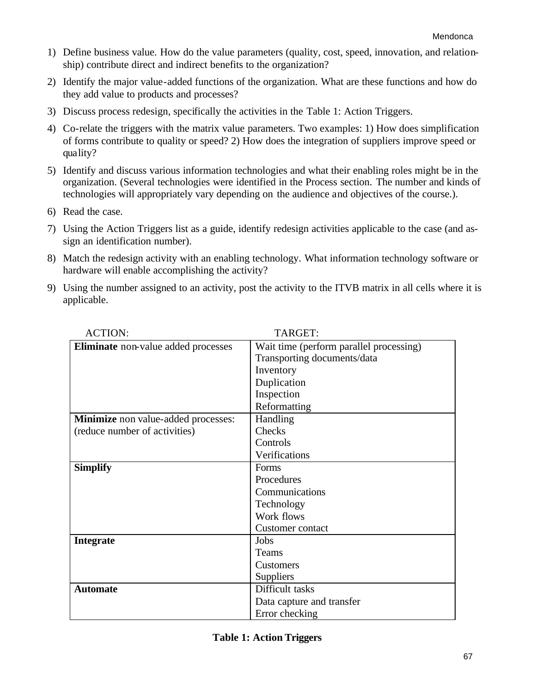- 1) Define business value. How do the value parameters (quality, cost, speed, innovation, and relationship) contribute direct and indirect benefits to the organization?
- 2) Identify the major value-added functions of the organization. What are these functions and how do they add value to products and processes?
- 3) Discuss process redesign, specifically the activities in the Table 1: Action Triggers.
- 4) Co-relate the triggers with the matrix value parameters. Two examples: 1) How does simplification of forms contribute to quality or speed? 2) How does the integration of suppliers improve speed or quality?
- 5) Identify and discuss various information technologies and what their enabling roles might be in the organization. (Several technologies were identified in the Process section. The number and kinds of technologies will appropriately vary depending on the audience and objectives of the course.).
- 6) Read the case.
- 7) Using the Action Triggers list as a guide, identify redesign activities applicable to the case (and assign an identification number).
- 8) Match the redesign activity with an enabling technology. What information technology software or hardware will enable accomplishing the activity?
- 9) Using the number assigned to an activity, post the activity to the ITVB matrix in all cells where it is applicable.

| <b>ACTION:</b>                             | TARGET:                                 |
|--------------------------------------------|-----------------------------------------|
| Eliminate non-value added processes        | Wait time (perform parallel processing) |
|                                            | Transporting documents/data             |
|                                            | Inventory                               |
|                                            | Duplication                             |
|                                            | Inspection                              |
|                                            | Reformatting                            |
| <b>Minimize</b> non value-added processes: | Handling                                |
| (reduce number of activities)              | Checks                                  |
|                                            | Controls                                |
|                                            | Verifications                           |
| <b>Simplify</b>                            | Forms                                   |
|                                            | Procedures                              |
|                                            | Communications                          |
|                                            | Technology                              |
|                                            | Work flows                              |
|                                            | Customer contact                        |
| <b>Integrate</b>                           | Jobs                                    |
|                                            | Teams                                   |
|                                            | <b>Customers</b>                        |
|                                            | Suppliers                               |
| <b>Automate</b>                            | Difficult tasks                         |
|                                            | Data capture and transfer               |
|                                            | Error checking                          |

|  |  |  | <b>Table 1: Action Triggers</b> |
|--|--|--|---------------------------------|
|--|--|--|---------------------------------|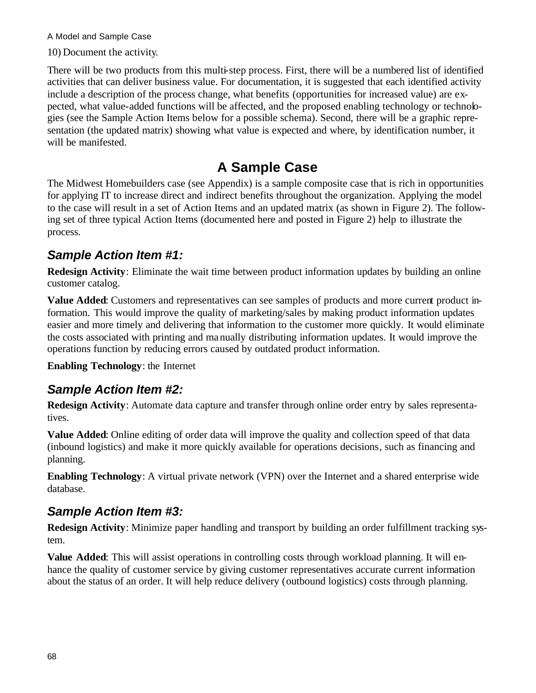10) Document the activity.

There will be two products from this multi-step process. First, there will be a numbered list of identified activities that can deliver business value. For documentation, it is suggested that each identified activity include a description of the process change, what benefits (opportunities for increased value) are expected, what value-added functions will be affected, and the proposed enabling technology or technologies (see the Sample Action Items below for a possible schema). Second, there will be a graphic representation (the updated matrix) showing what value is expected and where, by identification number, it will be manifested.

## **A Sample Case**

The Midwest Homebuilders case (see Appendix) is a sample composite case that is rich in opportunities for applying IT to increase direct and indirect benefits throughout the organization. Applying the model to the case will result in a set of Action Items and an updated matrix (as shown in Figure 2). The following set of three typical Action Items (documented here and posted in Figure 2) help to illustrate the process.

### *Sample Action Item #1:*

**Redesign Activity**: Eliminate the wait time between product information updates by building an online customer catalog.

Value Added: Customers and representatives can see samples of products and more current product information. This would improve the quality of marketing/sales by making product information updates easier and more timely and delivering that information to the customer more quickly. It would eliminate the costs associated with printing and manually distributing information updates. It would improve the operations function by reducing errors caused by outdated product information.

**Enabling Technology**: the Internet

### *Sample Action Item #2:*

**Redesign Activity**: Automate data capture and transfer through online order entry by sales representatives.

**Value Added**: Online editing of order data will improve the quality and collection speed of that data (inbound logistics) and make it more quickly available for operations decisions, such as financing and planning.

**Enabling Technology**: A virtual private network (VPN) over the Internet and a shared enterprise wide database.

### *Sample Action Item #3:*

**Redesign Activity**: Minimize paper handling and transport by building an order fulfillment tracking system.

**Value Added**: This will assist operations in controlling costs through workload planning. It will enhance the quality of customer service by giving customer representatives accurate current information about the status of an order. It will help reduce delivery (outbound logistics) costs through planning.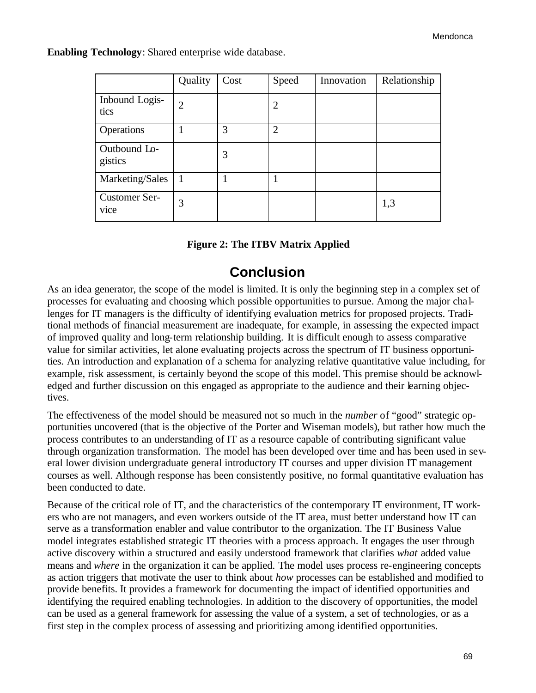**Enabling Technology**: Shared enterprise wide database.

|                         | Quality        | Cost | Speed          | Innovation | Relationship |
|-------------------------|----------------|------|----------------|------------|--------------|
| Inbound Logis-<br>tics  | $\overline{2}$ |      | $\overline{2}$ |            |              |
| Operations              |                | 3    | $\overline{2}$ |            |              |
| Outbound Lo-<br>gistics |                | 3    |                |            |              |
| Marketing/Sales         | $\mathbf{1}$   |      |                |            |              |
| Customer Ser-<br>vice   | 3              |      |                |            | 1,3          |

| <b>Figure 2: The ITBV Matrix Applied</b> |  |  |  |  |
|------------------------------------------|--|--|--|--|
|------------------------------------------|--|--|--|--|

### **Conclusion**

As an idea generator, the scope of the model is limited. It is only the beginning step in a complex set of processes for evaluating and choosing which possible opportunities to pursue. Among the major cha llenges for IT managers is the difficulty of identifying evaluation metrics for proposed projects. Traditional methods of financial measurement are inadequate, for example, in assessing the expected impact of improved quality and long-term relationship building. It is difficult enough to assess comparative value for similar activities, let alone evaluating projects across the spectrum of IT business opportunities. An introduction and explanation of a schema for analyzing relative quantitative value including, for example, risk assessment, is certainly beyond the scope of this model. This premise should be acknowledged and further discussion on this engaged as appropriate to the audience and their learning objectives.

The effectiveness of the model should be measured not so much in the *number* of "good" strategic opportunities uncovered (that is the objective of the Porter and Wiseman models), but rather how much the process contributes to an understanding of IT as a resource capable of contributing significant value through organization transformation. The model has been developed over time and has been used in several lower division undergraduate general introductory IT courses and upper division IT management courses as well. Although response has been consistently positive, no formal quantitative evaluation has been conducted to date.

Because of the critical role of IT, and the characteristics of the contemporary IT environment, IT workers who are not managers, and even workers outside of the IT area, must better understand how IT can serve as a transformation enabler and value contributor to the organization. The IT Business Value model integrates established strategic IT theories with a process approach. It engages the user through active discovery within a structured and easily understood framework that clarifies *what* added value means and *where* in the organization it can be applied. The model uses process re-engineering concepts as action triggers that motivate the user to think about *how* processes can be established and modified to provide benefits. It provides a framework for documenting the impact of identified opportunities and identifying the required enabling technologies. In addition to the discovery of opportunities, the model can be used as a general framework for assessing the value of a system, a set of technologies, or as a first step in the complex process of assessing and prioritizing among identified opportunities.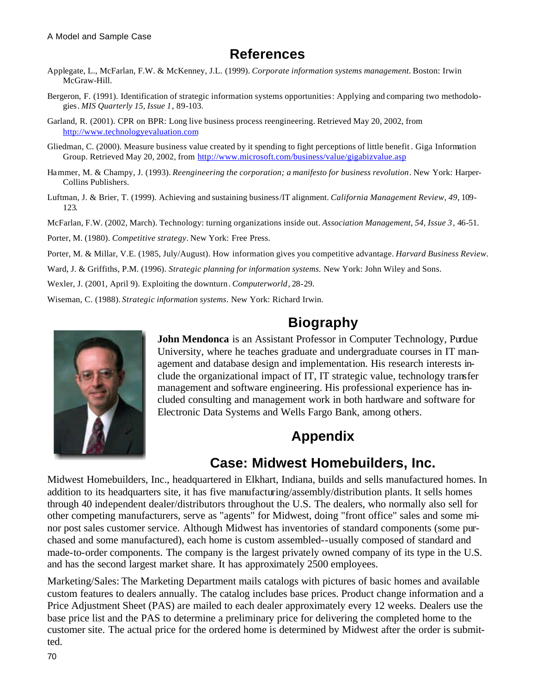## **References**

- Applegate, L., McFarlan, F.W. & McKenney, J.L. (1999). *Corporate information systems management*. Boston: Irwin McGraw-Hill.
- Bergeron, F. (1991). Identification of strategic information systems opportunities: Applying and comparing two methodologies. *MIS Quarterly 15, Issue 1*, 89-103.
- Garland, R. (2001). CPR on BPR: Long live business process reengineering. Retrieved May 20, 2002, from http://www.technologyevaluation.com
- Gliedman, C. (2000). Measure business value created by it spending to fight perceptions of little benefit . Giga Information Group. Retrieved May 20, 2002, from http://www.microsoft.com/business/value/gigabizvalue.asp
- Hammer, M. & Champy, J. (1993). *Reengineering the corporation; a manifesto for business revolution.* New York: Harper-Collins Publishers.
- Luftman, J. & Brier, T. (1999). Achieving and sustaining business/IT alignment. *California Management Review, 49,* 109- 123.
- McFarlan, F.W. (2002, March). Technology: turning organizations inside out. *Association Management, 54, Issue 3*, 46-51.
- Porter, M. (1980). *Competitive strategy*. New York: Free Press.
- Porter, M. & Millar, V.E. (1985, July/August). How information gives you competitive advantage. *Harvard Business Review.*
- Ward, J. & Griffiths, P.M. (1996). *Strategic planning for information systems.* New York: John Wiley and Sons.
- Wexler, J. (2001, April 9). Exploiting the downturn. *Computerworld*, 28-29.
- Wiseman, C. (1988). *Strategic information systems*. New York: Richard Irwin.

## **Biography**



**John Mendonca** is an Assistant Professor in Computer Technology, Purdue University, where he teaches graduate and undergraduate courses in IT management and database design and implementation. His research interests include the organizational impact of IT, IT strategic value, technology transfer management and software engineering. His professional experience has included consulting and management work in both hardware and software for Electronic Data Systems and Wells Fargo Bank, among others.

## **Appendix**

### **Case: Midwest Homebuilders, Inc.**

Midwest Homebuilders, Inc., headquartered in Elkhart, Indiana, builds and sells manufactured homes. In addition to its headquarters site, it has five manufacturing/assembly/distribution plants. It sells homes through 40 independent dealer/distributors throughout the U.S. The dealers, who normally also sell for other competing manufacturers, serve as "agents" for Midwest, doing "front office" sales and some minor post sales customer service. Although Midwest has inventories of standard components (some purchased and some manufactured), each home is custom assembled--usually composed of standard and made-to-order components. The company is the largest privately owned company of its type in the U.S. and has the second largest market share. It has approximately 2500 employees.

Marketing/Sales: The Marketing Department mails catalogs with pictures of basic homes and available custom features to dealers annually. The catalog includes base prices. Product change information and a Price Adjustment Sheet (PAS) are mailed to each dealer approximately every 12 weeks. Dealers use the base price list and the PAS to determine a preliminary price for delivering the completed home to the customer site. The actual price for the ordered home is determined by Midwest after the order is submitted.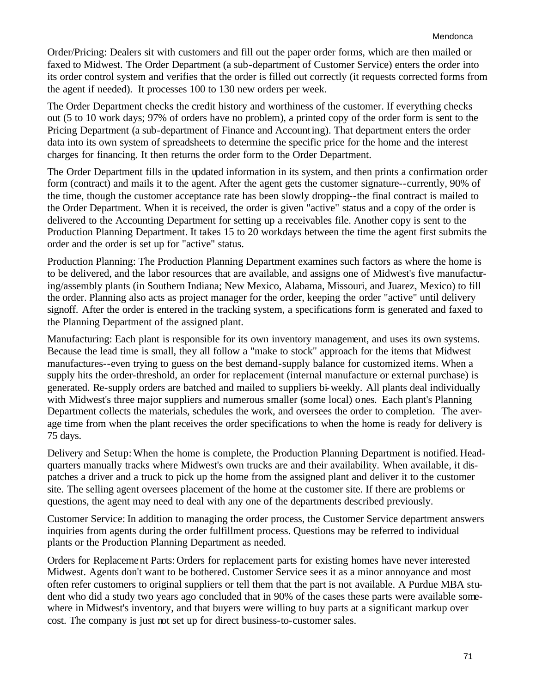Order/Pricing: Dealers sit with customers and fill out the paper order forms, which are then mailed or faxed to Midwest. The Order Department (a sub-department of Customer Service) enters the order into its order control system and verifies that the order is filled out correctly (it requests corrected forms from the agent if needed). It processes 100 to 130 new orders per week.

The Order Department checks the credit history and worthiness of the customer. If everything checks out (5 to 10 work days; 97% of orders have no problem), a printed copy of the order form is sent to the Pricing Department (a sub-department of Finance and Accounting). That department enters the order data into its own system of spreadsheets to determine the specific price for the home and the interest charges for financing. It then returns the order form to the Order Department.

The Order Department fills in the updated information in its system, and then prints a confirmation order form (contract) and mails it to the agent. After the agent gets the customer signature--currently, 90% of the time, though the customer acceptance rate has been slowly dropping--the final contract is mailed to the Order Department. When it is received, the order is given "active" status and a copy of the order is delivered to the Accounting Department for setting up a receivables file. Another copy is sent to the Production Planning Department. It takes 15 to 20 workdays between the time the agent first submits the order and the order is set up for "active" status.

Production Planning: The Production Planning Department examines such factors as where the home is to be delivered, and the labor resources that are available, and assigns one of Midwest's five manufacturing/assembly plants (in Southern Indiana; New Mexico, Alabama, Missouri, and Juarez, Mexico) to fill the order. Planning also acts as project manager for the order, keeping the order "active" until delivery signoff. After the order is entered in the tracking system, a specifications form is generated and faxed to the Planning Department of the assigned plant.

Manufacturing: Each plant is responsible for its own inventory management, and uses its own systems. Because the lead time is small, they all follow a "make to stock" approach for the items that Midwest manufactures--even trying to guess on the best demand-supply balance for customized items. When a supply hits the order-threshold, an order for replacement (internal manufacture or external purchase) is generated. Re-supply orders are batched and mailed to suppliers bi-weekly. All plants deal individually with Midwest's three major suppliers and numerous smaller (some local) ones. Each plant's Planning Department collects the materials, schedules the work, and oversees the order to completion. The average time from when the plant receives the order specifications to when the home is ready for delivery is 75 days.

Delivery and Setup:When the home is complete, the Production Planning Department is notified. Headquarters manually tracks where Midwest's own trucks are and their availability. When available, it dispatches a driver and a truck to pick up the home from the assigned plant and deliver it to the customer site. The selling agent oversees placement of the home at the customer site. If there are problems or questions, the agent may need to deal with any one of the departments described previously.

Customer Service: In addition to managing the order process, the Customer Service department answers inquiries from agents during the order fulfillment process. Questions may be referred to individual plants or the Production Planning Department as needed.

Orders for Replacement Parts:Orders for replacement parts for existing homes have never interested Midwest. Agents don't want to be bothered. Customer Service sees it as a minor annoyance and most often refer customers to original suppliers or tell them that the part is not available. A Purdue MBA student who did a study two years ago concluded that in 90% of the cases these parts were available somewhere in Midwest's inventory, and that buyers were willing to buy parts at a significant markup over cost. The company is just not set up for direct business-to-customer sales.